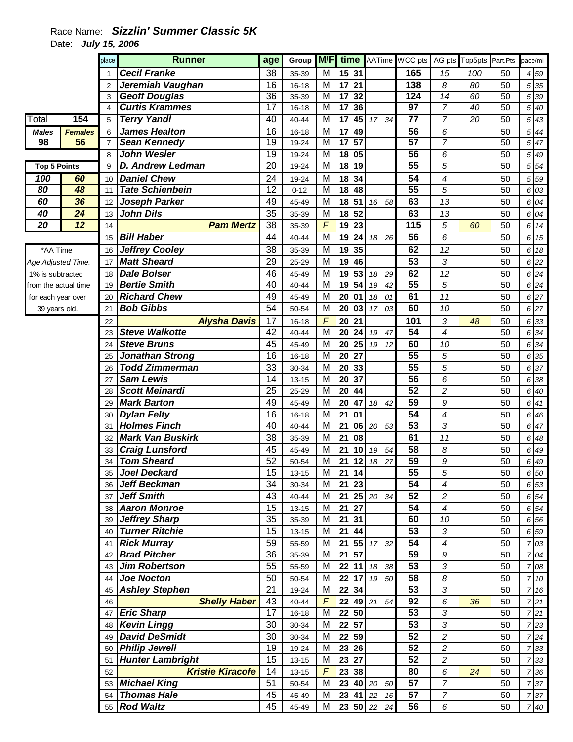## Race Name: **Sizzlin' Summer Classic 5K**  Date: **July 15, 2006**

|                      |                | place          | <b>Runner</b>           | age             | Group     | M/F                     |                              |                       | time AATime WCC pts |                          | AG pts Top5pts | Part.Pts | pace/mi |                                |
|----------------------|----------------|----------------|-------------------------|-----------------|-----------|-------------------------|------------------------------|-----------------------|---------------------|--------------------------|----------------|----------|---------|--------------------------------|
|                      |                |                | <b>Cecil Franke</b>     | 38              | 35-39     | M                       | 15 31                        |                       | 165                 | 15                       | 100            | 50       |         | 4 5 9                          |
|                      |                | $\overline{2}$ | Jeremiah Vaughan        | 16              | $16 - 18$ | M                       | 17<br>21                     |                       | 138                 | 8                        | 80             | 50       |         | 5 35                           |
|                      |                | 3              | <b>Geoff Douglas</b>    | 36              | 35-39     | M                       | 17<br>32                     |                       | 124                 | 14                       | 60             | 50       |         | 5 39                           |
|                      |                | 4              | <b>Curtis Krammes</b>   | $\overline{17}$ | $16 - 18$ | $\overline{\mathsf{M}}$ | $\overline{17}$<br>36        |                       | $\overline{97}$     | 7                        | 40             | 50       |         | 5 40                           |
| Total                | 154            | 5              | <b>Terry Yandl</b>      | 40              | 40-44     | M                       | $\overline{17}$              | 45 17 34              | 77                  | 7                        | 20             | 50       |         | $5\overline{43}$               |
| <b>Males</b>         | <b>Females</b> | 6              | <b>James Healton</b>    | 16              | $16 - 18$ | M                       | 17<br>49                     |                       | $\overline{56}$     | 6                        |                | 50       |         | 5 44                           |
| 98                   | 56             | $\overline{7}$ | <b>Sean Kennedy</b>     | 19              | 19-24     | $\overline{\mathsf{M}}$ | 57<br>$\overline{17}$        |                       | $\overline{57}$     | 7                        |                | 50       |         | 5 47                           |
|                      |                | 8              | <b>John Wesler</b>      | $\overline{19}$ | 19-24     | M                       | 18 05                        |                       | 56                  | 6                        |                | 50       |         | 5 49                           |
| <b>Top 5 Points</b>  |                | 9              | <b>D. Andrew Ledman</b> | $\overline{20}$ | 19-24     | M                       | 18<br>$\overline{19}$        |                       | 55                  | 5                        |                | 50       |         | 5 54                           |
| 100                  | 60             | 10             | <b>Daniel Chew</b>      | 24              | 19-24     | M                       | 18<br>34                     |                       | $\overline{54}$     | 4                        |                | 50       |         | 5 59                           |
| 80                   | 48             | 11             | <b>Tate Schienbein</b>  | 12              | $0 - 12$  | M                       | 18<br>48                     |                       | $\overline{55}$     | 5                        |                | 50       |         | 6 03                           |
| 60                   | 36             | 12             | <b>Joseph Parker</b>    | 49              | 45-49     | M                       | 18<br>51                     | 16 58                 | 63                  | 13                       |                | 50       |         | 6 04                           |
| 40                   | 24             | 13             | <b>John Dils</b>        | 35              | 35-39     | M                       | 18<br>52                     |                       | 63                  | 13                       |                | 50       |         | 6 04                           |
| 20                   | 12             | 14             | <b>Pam Mertz</b>        | 38              | 35-39     | F                       | 19<br>23                     |                       | 115                 | 5                        | 60             | 50       |         | 6 14                           |
|                      |                | 15             | <b>Bill Haber</b>       | 44              | 40-44     | M                       | 19<br>24                     | 18 26                 | 56                  | 6                        |                | 50       |         | 6 15                           |
| *AA Time             |                | 16             | <b>Jeffrey Cooley</b>   | 38              | 35-39     | M                       | 19<br>35                     |                       | 62                  | 12                       |                | 50       |         | 6 18                           |
| Age Adjusted Time.   |                | 17             | <b>Matt Sheard</b>      | 29              | 25-29     | M                       | 19<br>46                     |                       | 53                  | 3                        |                | 50       |         | 6 22                           |
| 1% is subtracted     |                | 18             | <b>Dale Bolser</b>      | 46              | 45-49     | M                       | 19<br>53                     | 18<br>29              | 62                  | 12                       |                | 50       |         | $6\overline{24}$               |
| from the actual time |                | 19             | <b>Bertie Smith</b>     | 40              | 40-44     | M                       | 54<br>19                     | 19<br>42              | $\overline{55}$     | 5                        |                | 50       |         | $6\overline{24}$               |
| for each year over   |                | 20             | <b>Richard Chew</b>     | 49              | 45-49     | M                       | 20<br>01                     | 18<br>01              | 61                  | 11                       |                | 50       |         | 6 27                           |
| 39 years old.        |                | 21             | <b>Bob Gibbs</b>        | 54              | 50-54     | M                       | 20<br>03                     | 17 <sup>7</sup><br>03 | 60                  | 10                       |                | 50       |         | 6 27                           |
|                      |                | 22             | <b>Alysha Davis</b>     | 17              | $16 - 18$ | F                       | 20<br>21                     |                       | 101                 | 3                        | 48             | 50       |         | 6 33                           |
|                      |                | 23             | <b>Steve Walkotte</b>   | 42              | 40-44     | M                       | 20<br>24                     | 19<br>47              | 54                  | 4                        |                | 50       |         | 6 34                           |
|                      |                | 24             | <b>Steve Bruns</b>      | 45              | 45-49     | M                       | 25<br>20                     | 19<br>12              | 60                  | 10                       |                | 50       |         | 6 34                           |
|                      |                | 25             | <b>Jonathan Strong</b>  | 16              | $16 - 18$ | M                       | 20<br>27                     |                       | $\overline{55}$     | 5                        |                | 50       |         | 6 35                           |
|                      |                | 26             | <b>Todd Zimmerman</b>   | 33              | 30-34     | M                       | 20<br>33                     |                       | $\overline{55}$     | 5                        |                | 50       |         | 6 37                           |
|                      |                | 27             | <b>Sam Lewis</b>        | 14              | $13 - 15$ | M                       | 20<br>37                     |                       | 56                  | 6                        |                | 50       |         | 6 38                           |
|                      |                | 28             | <b>Scott Meinardi</b>   | 25              | 25-29     | M                       | 20<br>44                     |                       | $\overline{52}$     | $\overline{c}$           |                | 50       |         | 6 40                           |
|                      |                | 29             | <b>Mark Barton</b>      | 49              | 45-49     | M                       | 20<br>47                     | 18<br>42              | $\overline{59}$     | 9                        |                | 50       |         | $6 \overline{\smash{\big)}41}$ |
|                      |                | 30             | <b>Dylan Felty</b>      | 16              | 16-18     | M                       | 21<br>01                     |                       | $\overline{54}$     | 4                        |                | 50       |         | 6 46                           |
|                      |                | 31             | <b>Holmes Finch</b>     | 40              | 40-44     | M                       | 21<br>06                     | 20<br>53              | $\overline{53}$     | 3                        |                | 50       |         | 6 47                           |
|                      |                | 32             | <b>Mark Van Buskirk</b> | $\overline{38}$ | 35-39     | M                       | 21<br>08                     |                       | 61                  | 11                       |                | 50       |         | 6 48                           |
|                      |                | 33             | <b>Craig Lunsford</b>   | 45              | 45-49     | M                       | 21<br>10                     | 19<br>54              | $\overline{58}$     | 8                        |                | 50       |         | 6 49                           |
|                      |                | 34             | <b>Tom Sheard</b>       | 52              | 50-54     | M                       | 21<br>12                     | 27<br>18              | 59                  | 9                        |                | 50       |         | 6 49                           |
|                      |                | 35             | Joel Deckard            | 15              | $13 - 15$ | M                       | $\overline{21}$<br>14        |                       | 55                  | 5                        |                | 50       |         | 6 50                           |
|                      |                |                | 36 Jeff Beckman         | 34              | 30-34     | M                       | 21 23                        |                       | 54                  | 4                        |                | 50       |         | 6 53                           |
|                      |                |                | 37 Jeff Smith           | 43              | 40-44     | M                       | 21                           | 25 20 34              | 52                  | $\overline{c}$           |                | 50       |         | 6 54                           |
|                      |                |                | 38 Aaron Monroe         | 15              | 13-15     | М                       | 21 27                        |                       | $\overline{54}$     | $\overline{\mathcal{A}}$ |                | 50       |         | 6 54                           |
|                      |                |                | 39 Jeffrey Sharp        | 35              | 35-39     | M                       | 21 31                        |                       | 60                  | 10                       |                | 50       |         | 6 56                           |
|                      |                |                | 40 Turner Ritchie       | 15              | $13 - 15$ | M                       | 21 44                        |                       | 53                  | 3                        |                | 50       |         | 6 59                           |
|                      |                | 41             | <b>Rick Murray</b>      | 59              | 55-59     | М                       |                              | 21 55 17 32           | 54                  | 4                        |                | 50       |         | 7 03                           |
|                      |                | 42             | <b>Brad Pitcher</b>     | 36              | 35-39     | М                       | 21 57                        |                       | $\overline{59}$     | $\boldsymbol{9}$         |                | 50       |         | 7 04                           |
|                      |                | 43             | <b>Jim Robertson</b>    | 55              | 55-59     | M                       | 22 11                        | 18 38                 | 53                  | 3                        |                | 50       |         | 7 08                           |
|                      |                | 44             | <b>Joe Nocton</b>       | 50              | 50-54     | M                       |                              | 22 17 19 50           | $\overline{58}$     | 8                        |                | 50       |         | 7 10                           |
|                      |                | 45             | <b>Ashley Stephen</b>   | 21              | 19-24     | M                       | 22 34                        |                       | $\overline{53}$     | 3                        |                | 50       |         | 7 16                           |
|                      |                | 46             | <b>Shelly Haber</b>     | 43              | 40-44     | F                       |                              | 22 49 21 54           | 92                  | 6                        | 36             | 50       |         | 721                            |
|                      |                | 47             | <b>Eric Sharp</b>       | 17              | $16 - 18$ | M                       | 22 50                        |                       | 53                  | 3                        |                | 50       |         | 721                            |
|                      |                |                | 48 Kevin Lingg          | 30              | 30-34     | M                       | 22 57                        |                       | 53                  | 3                        |                | 50       |         | 7 23                           |
|                      |                | 49             | <b>David DeSmidt</b>    | 30              | 30-34     | M                       | 22 59                        |                       | 52                  | $\overline{c}$           |                | 50       |         | 724                            |
|                      |                |                | 50 Philip Jewell        | 19              | 19-24     | M                       | $\overline{2}3$ 26           |                       | 52                  | $\overline{c}$           |                | 50       |         | 7 33                           |
|                      |                | 51             | <b>Hunter Lambright</b> | 15              | 13-15     | M                       | 23 27                        |                       | $\overline{52}$     | $\overline{c}$           |                | 50       |         | 7 33                           |
|                      |                | 52             | <b>Kristie Kiracofe</b> | 14              | $13 - 15$ | $\sqrt{2}$              | $\overline{2}3\overline{3}8$ |                       | 80                  | 6                        | 24             | 50       |         | 7 36                           |
|                      |                |                | 53 Michael King         | 51              | 50-54     | M                       |                              | 23 40 20 50           | 57                  | $\overline{7}$           |                | 50       |         | 737                            |
|                      |                |                | 54 Thomas Hale          | 45              | 45-49     | М                       |                              | 23 41 22 16           | 57                  | $\overline{7}$           |                | 50       |         | 737                            |
|                      |                |                | 55 Rod Waltz            | 45              | 45-49     | М                       |                              | 23 50 22 24           | 56                  | $\boldsymbol{6}$         |                | 50       |         | 7 40                           |
|                      |                |                |                         |                 |           |                         |                              |                       |                     |                          |                |          |         |                                |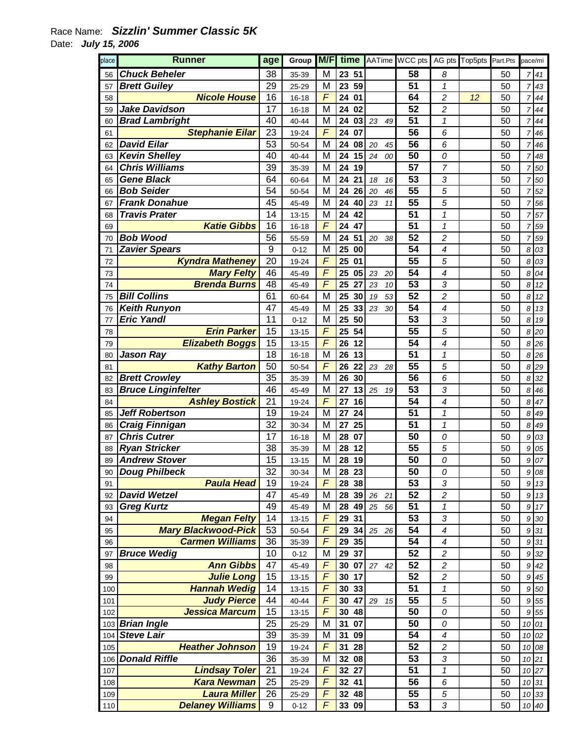## Race Name: **Sizzlin' Summer Classic 5K**  Date: **July 15, 2006**

| place | <b>Runner</b>              | age              | Group     | M/F                 |                |          | time AATime WCC pts |                            | AG pts Top5pts Part.Pts |    | pace/mi        |        |
|-------|----------------------------|------------------|-----------|---------------------|----------------|----------|---------------------|----------------------------|-------------------------|----|----------------|--------|
| 56    | <b>Chuck Beheler</b>       | 38               | 35-39     | M                   | 23 51          |          | 58                  | 8                          |                         | 50 | $\overline{7}$ | 41     |
| 57    | <b>Brett Guiley</b>        | 29               | 25-29     | M                   | 23<br>59       |          | 51                  | 1                          |                         | 50 | 7              | 43     |
| 58    | <b>Nicole House</b>        | 16               | 16-18     | $\overline{F}$      | 24<br>01       |          | 64                  | 2                          | 12                      | 50 | $\overline{7}$ | 44     |
| 59    | <b>Jake Davidson</b>       | 17               | $16 - 18$ | M                   | 02<br>24       |          | 52                  | $\overline{c}$             |                         | 50 | $\overline{7}$ | 44     |
| 60    | <b>Brad Lambright</b>      | 40               | 40-44     | M                   | 24<br>03       | 23<br>49 | 51                  | $\mathbf{1}$               |                         | 50 | 7              | 44     |
| 61    | <b>Stephanie Eilar</b>     | 23               | 19-24     | $\overline{F}$      | 24<br>07       |          | 56                  | 6                          |                         | 50 | $\overline{7}$ | 46     |
| 62    | <b>David Eilar</b>         | 53               | 50-54     | M                   | 24<br>08       | 20<br>45 | 56                  | 6                          |                         | 50 | $\overline{7}$ | 46     |
| 63    | <b>Kevin Shelley</b>       | 40               | 40-44     | M                   | 24<br>15       | 24<br>00 | 50                  | 0                          |                         | 50 | 7              | 48     |
| 64    | <b>Chris Williams</b>      | 39               | 35-39     | M                   | 24<br>19       |          | 57                  | 7                          |                         | 50 | 7              | 50     |
| 65    | <b>Gene Black</b>          | 64               | 60-64     | M                   | 24<br>21       | 18<br>16 | 53                  | 3                          |                         | 50 | 7              | 50     |
| 66    | <b>Bob Seider</b>          | 54               | 50-54     | M                   | 26<br>24       | 20<br>46 | 55                  | 5                          |                         | 50 | 7              | 52     |
| 67    | <b>Frank Donahue</b>       | 45               | 45-49     | M                   | 24<br>40       | 23<br>11 | 55                  | 5                          |                         | 50 | 7              | 56     |
| 68    | <b>Travis Prater</b>       | 14               | $13 - 15$ | M                   | 24<br>42       |          | 51                  | $\mathcal I$               |                         | 50 | 7              | 57     |
| 69    | <b>Katie Gibbs</b>         | 16               | 16-18     | F                   | 24<br>47       |          | 51                  | $\mathcal I$               |                         | 50 | $\overline{7}$ | 59     |
| 70    | <b>Bob Wood</b>            | 56               | 55-59     | M                   | 51<br>24       | 20<br>38 | 52                  | $\overline{c}$             |                         | 50 | $\overline{7}$ | 59     |
| 71    | <b>Zavier Spears</b>       | $\boldsymbol{9}$ | $0 - 12$  | M                   | 25<br>00       |          | 54                  | $\overline{\mathcal{A}}$   |                         | 50 | 8              | 03     |
| 72    | <b>Kyndra Matheney</b>     | 20               | 19-24     | $\overline{F}$      | 25<br>01       |          | 55                  | 5                          |                         | 50 | 8              | 03     |
| 73    | <b>Mary Felty</b>          | 46               | 45-49     | $\overline{F}$      | 25<br>05       | 23<br>20 | 54                  | 4                          |                         | 50 | 8              | 04     |
| 74    | <b>Brenda Burns</b>        | 48               | 45-49     | $\overline{F}$      | 25<br>27       | 23<br>10 | 53                  | 3                          |                         | 50 | 8              | 12     |
| 75    | <b>Bill Collins</b>        | 61               | 60-64     | M                   | 25<br>30       | 53<br>19 | 52                  | $\overline{c}$             |                         | 50 | 8              | 12     |
| 76    | <b>Keith Runyon</b>        | 47               | 45-49     | M                   | 25<br>33       | 23<br>30 | 54                  | $\overline{\mathcal{A}}$   |                         | 50 | 8              | 13     |
|       | <b>Eric Yandl</b>          | 11               | $0 - 12$  | M                   | 50<br>25       |          | 53                  | 3                          |                         | 50 | 8              | 19     |
| 77    | <b>Erin Parker</b>         | 15               |           | F                   | 54<br>25       |          | 55                  | 5                          |                         |    |                |        |
| 78    |                            |                  | $13 - 15$ | F                   |                |          | 54                  |                            |                         | 50 | 8              | 20     |
| 79    | <b>Elizabeth Boggs</b>     | 15               | $13 - 15$ |                     | 26<br>12<br>13 |          |                     | 4                          |                         | 50 | 8              | 26     |
| 80    | <b>Jason Ray</b>           | 18               | $16 - 18$ | M<br>F              | 26             |          | 51<br>55            | $\mathcal I$               |                         | 50 | 8              | 26     |
| 81    | <b>Kathy Barton</b>        | 50               | 50-54     | M                   | 22<br>26<br>30 | 23<br>28 | 56                  | 5                          |                         | 50 | 8              | 29     |
| 82    | <b>Brett Crowley</b>       | 35               | 35-39     |                     | 26             |          |                     | 6                          |                         | 50 | 8              | 32     |
| 83    | <b>Bruce Linginfelter</b>  | 46               | 45-49     | M<br>$\overline{F}$ | 27<br>13       | 25<br>19 | 53                  | 3                          |                         | 50 | 8              | 46     |
| 84    | <b>Ashley Bostick</b>      | 21               | 19-24     |                     | 16<br>27       |          | 54                  | 4                          |                         | 50 | 8              | 47     |
| 85    | <b>Jeff Robertson</b>      | 19               | 19-24     | M                   | 24<br>27       |          | 51                  | $\mathbf{1}$               |                         | 50 | 8              | 49     |
| 86    | <b>Craig Finnigan</b>      | 32               | 30-34     | M                   | 25<br>27       |          | 51                  | 1                          |                         | 50 | 8              | 49     |
| 87    | <b>Chris Cutrer</b>        | 17               | 16-18     | M                   | 28<br>07       |          | 50                  | 0                          |                         | 50 | 9              | 03     |
| 88    | <b>Ryan Stricker</b>       | 38               | 35-39     | M                   | 12<br>28       |          | 55                  | 5                          |                         | 50 | 9              | 05     |
| 89    | <b>Andrew Stover</b>       | 15               | $13 - 15$ | M                   | 28<br>19       |          | 50                  | 0                          |                         | 50 | 9              | 07     |
| 90    | <b>Doug Philbeck</b>       | 32               | 30-34     | М                   | 28 23          |          | 50                  | 0                          |                         | 50 |                | 9 08   |
| 91    | <b>Paula Head</b>          | 19               | 19-24     | F                   | 28 38          |          | 53                  | 3                          |                         | 50 | 9              | $13\,$ |
| 92    | <b>David Wetzel</b>        | 47               | 45-49     | M                   | 28<br>39       | 26<br>21 | 52                  | $\boldsymbol{2}$           |                         | 50 | 9              | $13\,$ |
| 93    | <b>Greg Kurtz</b>          | 49               | 45-49     | M                   | 28<br>49       | 25<br>56 | 51                  | 1                          |                         | 50 | 9              | 17     |
| 94    | <b>Megan Felty</b>         | 14               | $13 - 15$ | F                   | 29<br>31       |          | 53                  | 3                          |                         | 50 |                | 9 30   |
| 95    | <b>Mary Blackwood-Pick</b> | 53               | 50-54     | F                   | 29<br>34       | 25<br>26 | 54                  | $\overline{\mathcal{A}}$   |                         | 50 | 9              | 31     |
| 96    | <b>Carmen Williams</b>     | 36               | 35-39     | $\overline{F}$      | 29<br>35       |          | 54                  | $\overline{\mathcal{A}}$   |                         | 50 |                | 9 31   |
| 97    | <b>Bruce Wedig</b>         | 10               | $0 - 12$  | M                   | 29<br>37       |          | 52                  | $\boldsymbol{2}$           |                         | 50 | 9              | 32     |
| 98    | <b>Ann Gibbs</b>           | 47               | 45-49     | F                   | 30 07          | 27<br>42 | 52                  | $\overline{c}$             |                         | 50 | 9              | 42     |
| 99    | <b>Julie Long</b>          | 15               | $13 - 15$ | F                   | 30 17          |          | 52                  | $\overline{\mathbf{c}}$    |                         | 50 | 9              | 45     |
| 100   | <b>Hannah Wedig</b>        | 14               | $13 - 15$ | $\overline{F}$      | 30 33          |          | 51                  | $\boldsymbol{\mathcal{I}}$ |                         | 50 | 9              | 50     |
| 101   | <b>Judy Pierce</b>         | 44               | 40-44     | F                   | 47<br>30       | 29<br>15 | 55                  | 5                          |                         | 50 | 9              | 55     |
| 102   | <b>Jessica Marcum</b>      | 15               | $13 - 15$ | $\overline{F}$      | 30 48          |          | 50                  | 0                          |                         | 50 | 9              | 55     |
|       | 103 Brian Ingle            | 25               | 25-29     | M                   | 31<br>07       |          | 50                  | 0                          |                         | 50 |                | 10 01  |
| 104   | <b>Steve Lair</b>          | 39               | 35-39     | M                   | 31<br>09       |          | 54                  | 4                          |                         | 50 | 10             | 02     |
| 105   | <b>Heather Johnson</b>     | 19               | 19-24     | F                   | 31<br>28       |          | 52                  | $\boldsymbol{2}$           |                         | 50 |                | 10 08  |
| 106   | <b>Donald Riffle</b>       | 36               | 35-39     | M                   | 32 08          |          | 53                  | $\sqrt{3}$                 |                         | 50 |                | 10 21  |
| 107   | <b>Lindsay Toler</b>       | 21               | 19-24     | F                   | 32 27          |          | 51                  | $\mathbf{1}$               |                         | 50 |                | 10 27  |
| 108   | <b>Kara Newman</b>         | 25               | 25-29     | F                   | 32 41          |          | 56                  | 6                          |                         | 50 |                | 10 31  |
| 109   | <b>Laura Miller</b>        | 26               | 25-29     | $\overline{F}$      | 32 48          |          | 55                  | 5                          |                         | 50 |                | 10 33  |
| 110   | <b>Delaney Williams</b>    | 9                | $0 - 12$  | $\overline{F}$      | 33 09          |          | 53                  | 3                          |                         | 50 |                | 10 40  |